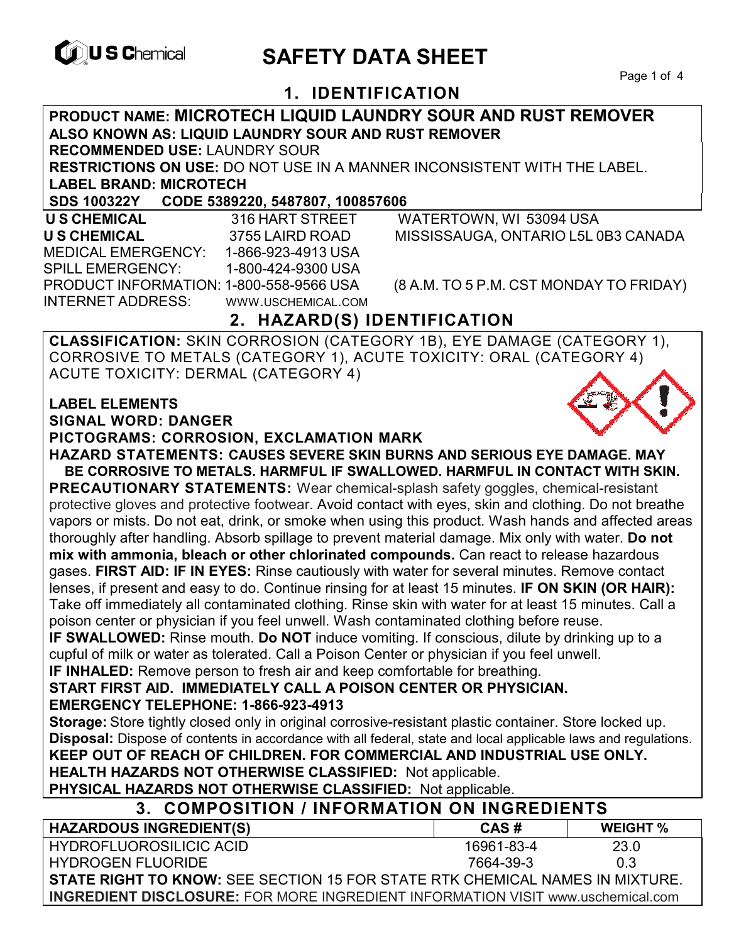

# **EXAGREM** SAFETY DATA SHEET

## **1. IDENTIFICATION**

**PRODUCT NAME: MICROTECH LIQUID LAUNDRY SOUR AND RUST REMOVER ALSO KNOWN AS: LIQUID LAUNDRY SOUR AND RUST REMOVER RECOMMENDED USE:** LAUNDRY SOUR **RESTRICTIONS ON USE:** DO NOT USE IN A MANNER INCONSISTENT WITH THE LABEL. **LABEL BRAND: MICROTECH SDS 100322Y CODE 5389220, 5487807, 100857606 U S CHEMICAL** 316 HART STREET WATERTOWN, WI 53094 USA **U S CHEMICAL** 3755 LAIRD ROAD MISSISSAUGA, ONTARIO L5L 0B3 CANADA MEDICAL EMERGENCY: 1-866-923-4913 USA SPILL EMERGENCY: 1-800-424-9300 USA PRODUCT INFORMATION: 1-800-558-9566 USA (8 A.M. TO 5 P.M. CST MONDAY TO FRIDAY) INTERNET ADDRESS: WWW.USCHEMICAL.COM **2. HAZARD(S) IDENTIFICATION CLASSIFICATION:** SKIN CORROSION (CATEGORY 1B), EYE DAMAGE (CATEGORY 1), CORROSIVE TO METALS (CATEGORY 1), ACUTE TOXICITY: ORAL (CATEGORY 4) ACUTE TOXICITY: DERMAL (CATEGORY 4) **LABEL ELEMENTS SIGNAL WORD: DANGER PICTOGRAMS: CORROSION, EXCLAMATION MARK HAZARD STATEMENTS: CAUSES SEVERE SKIN BURNS AND SERIOUS EYE DAMAGE. MAY BE CORROSIVE TO METALS. HARMFUL IF SWALLOWED. HARMFUL IN CONTACT WITH SKIN. PRECAUTIONARY STATEMENTS:** Wear chemical-splash safety goggles, chemical-resistant protective gloves and protective footwear. Avoid contact with eyes, skin and clothing. Do not breathe vapors or mists. Do not eat, drink, or smoke when using this product. Wash hands and affected areas thoroughly after handling. Absorb spillage to prevent material damage. Mix only with water. **Do not mix with ammonia, bleach or other chlorinated compounds.** Can react to release hazardous gases. **FIRST AID: IF IN EYES:** Rinse cautiously with water for several minutes. Remove contact lenses, if present and easy to do. Continue rinsing for at least 15 minutes. **IF ON SKIN (OR HAIR):** Take off immediately all contaminated clothing. Rinse skin with water for at least 15 minutes. Call a poison center or physician if you feel unwell. Wash contaminated clothing before reuse. **IF SWALLOWED:** Rinse mouth. **Do NOT** induce vomiting. If conscious, dilute by drinking up to a cupful of milk or water as tolerated. Call a Poison Center or physician if you feel unwell. **IF INHALED:** Remove person to fresh air and keep comfortable for breathing. **START FIRST AID. IMMEDIATELY CALL A POISON CENTER OR PHYSICIAN. EMERGENCY TELEPHONE: 1-866-923-4913 Storage:** Store tightly closed only in original corrosive-resistant plastic container. Store locked up. **Disposal:** Dispose of contents in accordance with all federal, state and local applicable laws and regulations. **KEEP OUT OF REACH OF CHILDREN. FOR COMMERCIAL AND INDUSTRIAL USE ONLY. HEALTH HAZARDS NOT OTHERWISE CLASSIFIED:** Not applicable. **PHYSICAL HAZARDS NOT OTHERWISE CLASSIFIED:** Not applicable. **3. COMPOSITION / INFORMATION ON INGREDIENTS HAZARDOUS INGREDIENT(S) CAS # WEIGHT %** HYDROFLUOROSILICIC ACID HYDROGEN FLUORIDE 16961-83-4 7664-39-3 23.0 0.3 **STATE RIGHT TO KNOW:** SEE SECTION 15 FOR STATE RTK CHEMICAL NAMES IN MIXTURE.

**INGREDIENT DISCLOSURE:** FOR MORE INGREDIENT INFORMATION VISIT www.uschemical.com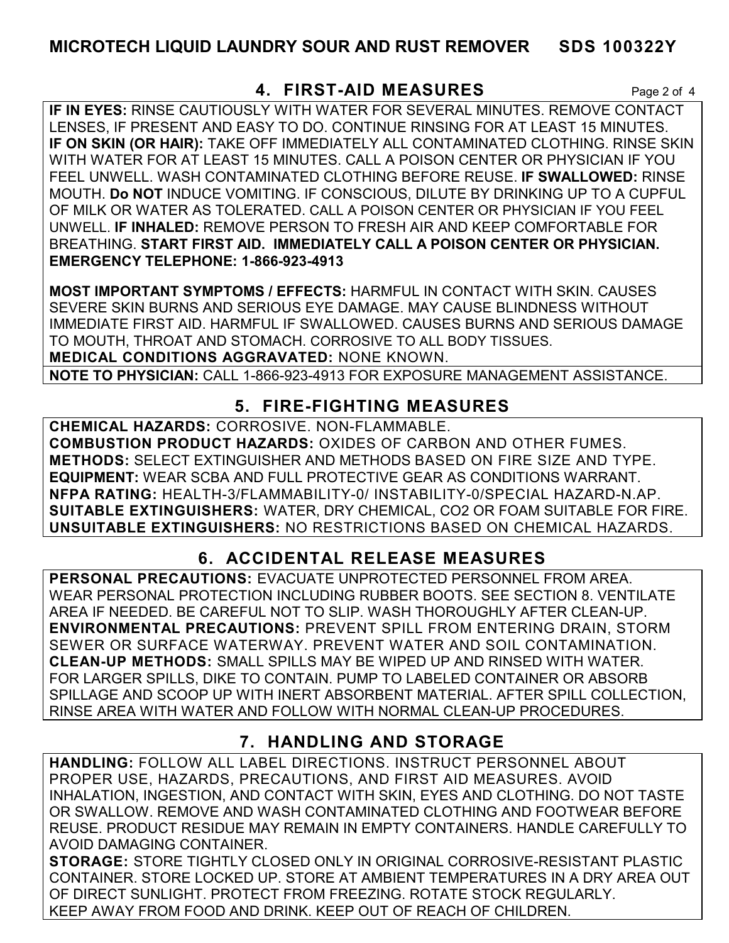### **MICROTECH LIQUID LAUNDRY SOUR AND RUST REMOVER SDS 100322Y**

#### **4. FIRST-AID MEASURES** Page 2 of 4

**IF IN EYES:** RINSE CAUTIOUSLY WITH WATER FOR SEVERAL MINUTES. REMOVE CONTACT LENSES, IF PRESENT AND EASY TO DO. CONTINUE RINSING FOR AT LEAST 15 MINUTES. **IF ON SKIN (OR HAIR):** TAKE OFF IMMEDIATELY ALL CONTAMINATED CLOTHING. RINSE SKIN WITH WATER FOR AT LEAST 15 MINUTES. CALL A POISON CENTER OR PHYSICIAN IF YOU FEEL UNWELL. WASH CONTAMINATED CLOTHING BEFORE REUSE. **IF SWALLOWED:** RINSE MOUTH. **Do NOT** INDUCE VOMITING. IF CONSCIOUS, DILUTE BY DRINKING UP TO A CUPFUL OF MILK OR WATER AS TOLERATED. CALL A POISON CENTER OR PHYSICIAN IF YOU FEEL UNWELL. **IF INHALED:** REMOVE PERSON TO FRESH AIR AND KEEP COMFORTABLE FOR BREATHING. **START FIRST AID. IMMEDIATELY CALL A POISON CENTER OR PHYSICIAN. EMERGENCY TELEPHONE: 1-866-923-4913**

**MOST IMPORTANT SYMPTOMS / EFFECTS:** HARMFUL IN CONTACT WITH SKIN. CAUSES SEVERE SKIN BURNS AND SERIOUS EYE DAMAGE. MAY CAUSE BLINDNESS WITHOUT IMMEDIATE FIRST AID. HARMFUL IF SWALLOWED. CAUSES BURNS AND SERIOUS DAMAGE TO MOUTH, THROAT AND STOMACH. CORROSIVE TO ALL BODY TISSUES. **MEDICAL CONDITIONS AGGRAVATED:** NONE KNOWN.

**NOTE TO PHYSICIAN:** CALL 1-866-923-4913 FOR EXPOSURE MANAGEMENT ASSISTANCE.

### **5. FIRE-FIGHTING MEASURES**

**CHEMICAL HAZARDS:** CORROSIVE. NON-FLAMMABLE. **COMBUSTION PRODUCT HAZARDS:** OXIDES OF CARBON AND OTHER FUMES. **METHODS:** SELECT EXTINGUISHER AND METHODS BASED ON FIRE SIZE AND TYPE. **EQUIPMENT:** WEAR SCBA AND FULL PROTECTIVE GEAR AS CONDITIONS WARRANT. **NFPA RATING:** HEALTH-3/FLAMMABILITY-0/ INSTABILITY-0/SPECIAL HAZARD-N.AP. **SUITABLE EXTINGUISHERS:** WATER, DRY CHEMICAL, CO2 OR FOAM SUITABLE FOR FIRE. **UNSUITABLE EXTINGUISHERS:** NO RESTRICTIONS BASED ON CHEMICAL HAZARDS.

# **6. ACCIDENTAL RELEASE MEASURES**

**PERSONAL PRECAUTIONS:** EVACUATE UNPROTECTED PERSONNEL FROM AREA. WEAR PERSONAL PROTECTION INCLUDING RUBBER BOOTS. SEE SECTION 8. VENTILATE AREA IF NEEDED. BE CAREFUL NOT TO SLIP. WASH THOROUGHLY AFTER CLEAN-UP. **ENVIRONMENTAL PRECAUTIONS:** PREVENT SPILL FROM ENTERING DRAIN, STORM SEWER OR SURFACE WATERWAY. PREVENT WATER AND SOIL CONTAMINATION. **CLEAN-UP METHODS:** SMALL SPILLS MAY BE WIPED UP AND RINSED WITH WATER. FOR LARGER SPILLS, DIKE TO CONTAIN. PUMP TO LABELED CONTAINER OR ABSORB SPILLAGE AND SCOOP UP WITH INERT ABSORBENT MATERIAL. AFTER SPILL COLLECTION, RINSE AREA WITH WATER AND FOLLOW WITH NORMAL CLEAN-UP PROCEDURES.

## **7. HANDLING AND STORAGE**

**HANDLING:** FOLLOW ALL LABEL DIRECTIONS. INSTRUCT PERSONNEL ABOUT PROPER USE, HAZARDS, PRECAUTIONS, AND FIRST AID MEASURES. AVOID INHALATION, INGESTION, AND CONTACT WITH SKIN, EYES AND CLOTHING. DO NOT TASTE OR SWALLOW. REMOVE AND WASH CONTAMINATED CLOTHING AND FOOTWEAR BEFORE REUSE. PRODUCT RESIDUE MAY REMAIN IN EMPTY CONTAINERS. HANDLE CAREFULLY TO AVOID DAMAGING CONTAINER.

**STORAGE:** STORE TIGHTLY CLOSED ONLY IN ORIGINAL CORROSIVE-RESISTANT PLASTIC CONTAINER. STORE LOCKED UP. STORE AT AMBIENT TEMPERATURES IN A DRY AREA OUT OF DIRECT SUNLIGHT. PROTECT FROM FREEZING. ROTATE STOCK REGULARLY. KEEP AWAY FROM FOOD AND DRINK. KEEP OUT OF REACH OF CHILDREN.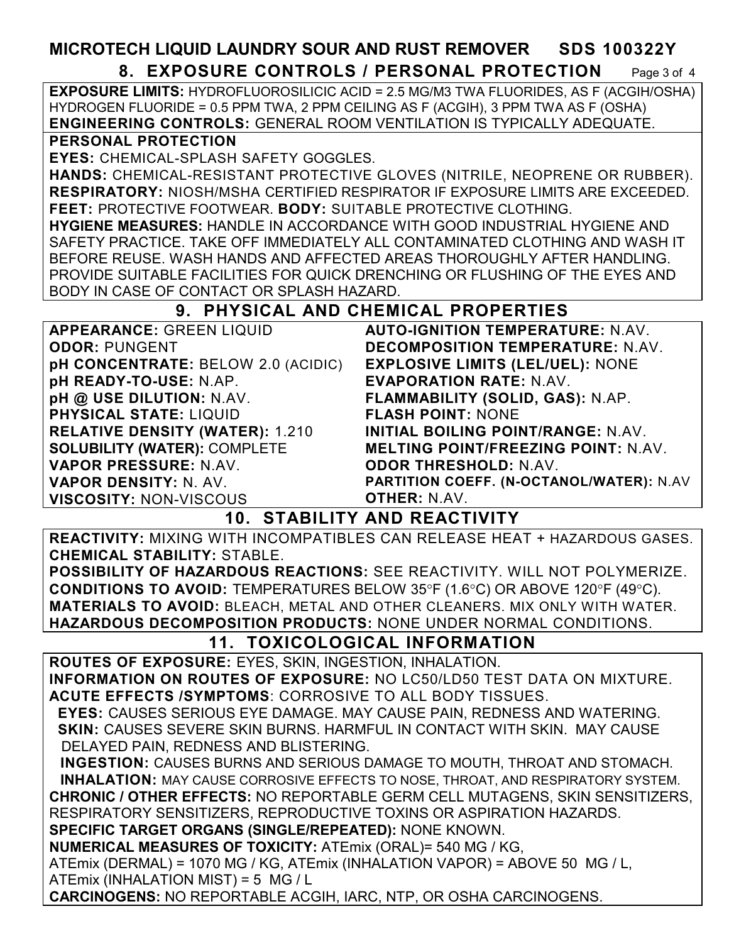#### **MICROTECH LIQUID LAUNDRY SOUR AND RUST REMOVER SDS 100322Y 8. EXPOSURE CONTROLS / PERSONAL PROTECTION** Page 3 of 4

**EXPOSURE LIMITS:** HYDROFLUOROSILICIC ACID = 2.5 MG/M3 TWA FLUORIDES, AS F (ACGIH/OSHA) HYDROGEN FLUORIDE = 0.5 PPM TWA, 2 PPM CEILING AS F (ACGIH), 3 PPM TWA AS F (OSHA) **ENGINEERING CONTROLS:** GENERAL ROOM VENTILATION IS TYPICALLY ADEQUATE.

#### **PERSONAL PROTECTION**

**EYES:** CHEMICAL-SPLASH SAFETY GOGGLES.

**HANDS:** CHEMICAL-RESISTANT PROTECTIVE GLOVES (NITRILE, NEOPRENE OR RUBBER). **RESPIRATORY:** NIOSH/MSHA CERTIFIED RESPIRATOR IF EXPOSURE LIMITS ARE EXCEEDED. **FEET:** PROTECTIVE FOOTWEAR. **BODY:** SUITABLE PROTECTIVE CLOTHING.

**HYGIENE MEASURES:** HANDLE IN ACCORDANCE WITH GOOD INDUSTRIAL HYGIENE AND SAFETY PRACTICE. TAKE OFF IMMEDIATELY ALL CONTAMINATED CLOTHING AND WASH IT BEFORE REUSE. WASH HANDS AND AFFECTED AREAS THOROUGHLY AFTER HANDLING. PROVIDE SUITABLE FACILITIES FOR QUICK DRENCHING OR FLUSHING OF THE EYES AND BODY IN CASE OF CONTACT OR SPLASH HAZARD.

#### **9. PHYSICAL AND CHEMICAL PROPERTIES**

| <b>AUTO-IGNITION TEMPERATURE: N.AV.</b>    |
|--------------------------------------------|
| DECOMPOSITION TEMPERATURE: N.AV.           |
| <b>EXPLOSIVE LIMITS (LEL/UEL): NONE</b>    |
| <b>EVAPORATION RATE: N.AV.</b>             |
| FLAMMABILITY (SOLID, GAS): N.AP.           |
| <b>FLASH POINT: NONE</b>                   |
| <b>INITIAL BOILING POINT/RANGE: N.AV.</b>  |
| <b>MELTING POINT/FREEZING POINT: N.AV.</b> |
| <b>ODOR THRESHOLD: N.AV.</b>               |
| PARTITION COEFF. (N-OCTANOL/WATER): N.AV   |
| <b>OTHER: N.AV.</b>                        |
|                                            |

#### **10. STABILITY AND REACTIVITY**

**REACTIVITY:** MIXING WITH INCOMPATIBLES CAN RELEASE HEAT + HAZARDOUS GASES. **CHEMICAL STABILITY:** STABLE.

**POSSIBILITY OF HAZARDOUS REACTIONS:** SEE REACTIVITY. WILL NOT POLYMERIZE. **CONDITIONS TO AVOID:** TEMPERATURES BELOW 35°F (1.6°C) OR ABOVE 120°F (49°C). **MATERIALS TO AVOID:** BLEACH, METAL AND OTHER CLEANERS. MIX ONLY WITH WATER. **HAZARDOUS DECOMPOSITION PRODUCTS:** NONE UNDER NORMAL CONDITIONS.

#### **11. TOXICOLOGICAL INFORMATION**

**ROUTES OF EXPOSURE:** EYES, SKIN, INGESTION, INHALATION.

**INFORMATION ON ROUTES OF EXPOSURE:** NO LC50/LD50 TEST DATA ON MIXTURE. **ACUTE EFFECTS /SYMPTOMS**: CORROSIVE TO ALL BODY TISSUES.

 **EYES:** CAUSES SERIOUS EYE DAMAGE. MAY CAUSE PAIN, REDNESS AND WATERING.  **SKIN:** CAUSES SEVERE SKIN BURNS. HARMFUL IN CONTACT WITH SKIN. MAY CAUSE DELAYED PAIN, REDNESS AND BLISTERING.

 **INGESTION:** CAUSES BURNS AND SERIOUS DAMAGE TO MOUTH, THROAT AND STOMACH. **INHALATION:** MAY CAUSE CORROSIVE EFFECTS TO NOSE, THROAT, AND RESPIRATORY SYSTEM. **CHRONIC / OTHER EFFECTS:** NO REPORTABLE GERM CELL MUTAGENS, SKIN SENSITIZERS, RESPIRATORY SENSITIZERS, REPRODUCTIVE TOXINS OR ASPIRATION HAZARDS.

**SPECIFIC TARGET ORGANS (SINGLE/REPEATED):** NONE KNOWN.

**NUMERICAL MEASURES OF TOXICITY:** ATEmix (ORAL)= 540 MG / KG,

ATEmix (DERMAL) = 1070 MG / KG, ATEmix (INHALATION VAPOR) = ABOVE 50 MG / L, ATEmix (INHALATION MIST) = 5 MG / L

**CARCINOGENS:** NO REPORTABLE ACGIH, IARC, NTP, OR OSHA CARCINOGENS.